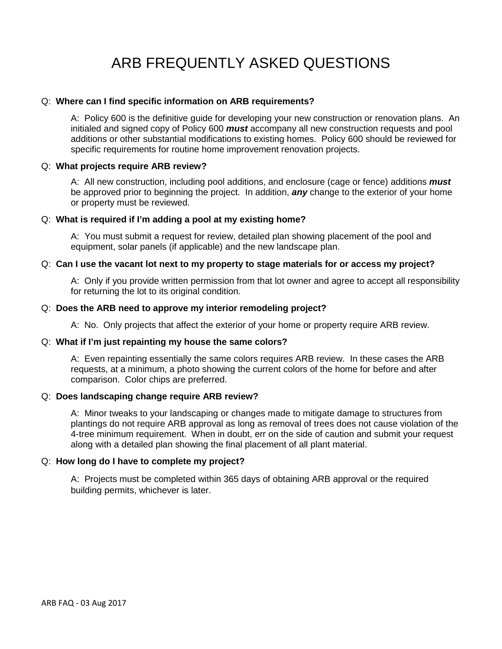# ARB FREQUENTLY ASKED QUESTIONS

# Q: **Where can I find specific information on ARB requirements?**

A: Policy 600 is the definitive guide for developing your new construction or renovation plans. An initialed and signed copy of Policy 600 *must* accompany all new construction requests and pool additions or other substantial modifications to existing homes. Policy 600 should be reviewed for specific requirements for routine home improvement renovation projects.

# Q: **What projects require ARB review?**

A: All new construction, including pool additions, and enclosure (cage or fence) additions *must* be approved prior to beginning the project. In addition, *any* change to the exterior of your home or property must be reviewed.

# Q: **What is required if I'm adding a pool at my existing home?**

A: You must submit a request for review, detailed plan showing placement of the pool and equipment, solar panels (if applicable) and the new landscape plan.

# Q: **Can I use the vacant lot next to my property to stage materials for or access my project?**

A: Only if you provide written permission from that lot owner and agree to accept all responsibility for returning the lot to its original condition.

# Q: **Does the ARB need to approve my interior remodeling project?**

A: No. Only projects that affect the exterior of your home or property require ARB review.

#### Q: **What if I'm just repainting my house the same colors?**

A: Even repainting essentially the same colors requires ARB review. In these cases the ARB requests, at a minimum, a photo showing the current colors of the home for before and after comparison. Color chips are preferred.

# Q: **Does landscaping change require ARB review?**

A: Minor tweaks to your landscaping or changes made to mitigate damage to structures from plantings do not require ARB approval as long as removal of trees does not cause violation of the 4-tree minimum requirement. When in doubt, err on the side of caution and submit your request along with a detailed plan showing the final placement of all plant material.

# Q: **How long do I have to complete my project?**

A: Projects must be completed within 365 days of obtaining ARB approval or the required building permits, whichever is later.